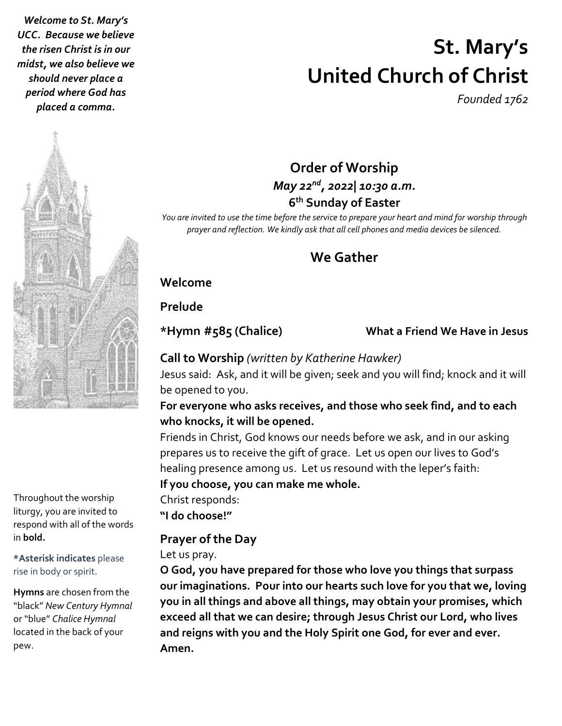*Welcome to St. Mary's UCC. Because we believe the risen Christ is in our midst, we also believe we should never place a period where God has placed a comma.*

# **St. Mary's United Church of Christ**

*Founded 1762*

Throughout the worship liturgy, you are invited to respond with all of the words in **bold.**

**\*Asterisk indicates** please rise in body or spirit.

**Hymns** are chosen from the "black" *New Century Hymnal* or "blue" *Chalice Hymnal* located in the back of your pew.

# **Order of Worship** *May 22nd , 2022| 10:30 a.m.* **6 th Sunday of Easter**

*You are invited to use the time before the service to prepare your heart and mind for worship through prayer and reflection. We kindly ask that all cell phones and media devices be silenced.*

# **We Gather**

# **Welcome**

# **Prelude**

### **\*Hymn #585 (Chalice) What a Friend We Have in Jesus**

# **Call to Worship** *(written by Katherine Hawker)*

Jesus said: Ask, and it will be given; seek and you will find; knock and it will be opened to you.

### **For everyone who asks receives, and those who seek find, and to each who knocks, it will be opened.**

Friends in Christ, God knows our needs before we ask, and in our asking prepares us to receive the gift of grace. Let us open our lives to God's healing presence among us. Let us resound with the leper's faith:

### **If you choose, you can make me whole.**

Christ responds: **"I do choose!"**

# **Prayer of the Day**

### Let us pray.

**O God, you have prepared for those who love you things that surpass our imaginations. Pour into our hearts such love for you that we, loving you in all things and above all things, may obtain your promises, which exceed all that we can desire; through Jesus Christ our Lord, who lives and reigns with you and the Holy Spirit one God, for ever and ever. Amen.**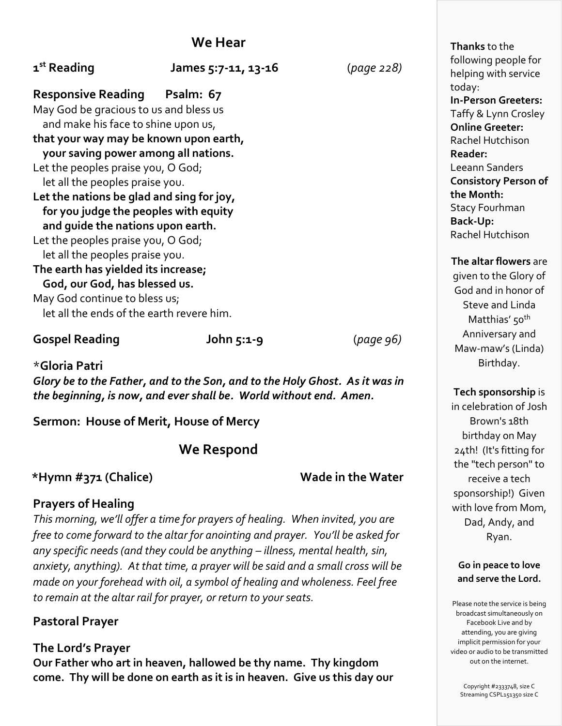| 1 <sup>st</sup> Reading                                                       | James 5:7-11, 13-16 | (page 228) | following people for<br>helping with service<br>today: |
|-------------------------------------------------------------------------------|---------------------|------------|--------------------------------------------------------|
| <b>Responsive Reading Psalm: 67</b>                                           |                     |            | In-Person Greeters:                                    |
| May God be gracious to us and bless us<br>and make his face to shine upon us, |                     |            | Taffy & Lynn Crosley                                   |
| that your way may be known upon earth,                                        |                     |            | <b>Online Greeter:</b>                                 |
|                                                                               |                     |            | Rachel Hutchison                                       |
| your saving power among all nations.                                          |                     |            | Reader:                                                |
| Let the peoples praise you, O God;                                            |                     |            | Leeann Sanders                                         |
| let all the peoples praise you.                                               |                     |            | <b>Consistory Person of</b>                            |
| Let the nations be glad and sing for joy,                                     |                     |            | the Month:                                             |
| for you judge the peoples with equity                                         |                     |            | <b>Stacy Fourhman</b>                                  |
| and quide the nations upon earth.                                             |                     |            | <b>Back-Up:</b>                                        |
| Let the peoples praise you, O God;                                            |                     |            | Rachel Hutchison                                       |
| let all the peoples praise you.                                               |                     |            |                                                        |
|                                                                               |                     |            | The altar flowers are                                  |
| The earth has yielded its increase;                                           |                     |            | given to the Glory of                                  |
| God, our God, has blessed us.                                                 |                     |            | God and in honor of                                    |
| May God continue to bless us;                                                 |                     |            | Steve and Linda                                        |
| let all the ends of the earth revere him.                                     |                     |            | Matthias' 50 <sup>th</sup>                             |
|                                                                               |                     |            |                                                        |

### **Gospel Reading John 5:1-9** (*page 96)*

\***Gloria Patri** *Glory be to the Father, and to the Son, and to the Holy Ghost. As it was in the beginning, is now, and ever shall be. World without end. Amen.*

**Sermon: House of Merit, House of Mercy**

**We Respond**

### **\*Hymn #371 (Chalice) Wade in the Water**

# **Prayers of Healing**

*This morning, we'll offer a time for prayers of healing. When invited, you are free to come forward to the altar for anointing and prayer. You'll be asked for any specific needs (and they could be anything – illness, mental health, sin, anxiety, anything). At that time, a prayer will be said and a small cross will be made on your forehead with oil, a symbol of healing and wholeness. Feel free to remain at the altar rail for prayer, or return to your seats.*

# **Pastoral Prayer**

**The Lord's Prayer Our Father who art in heaven, hallowed be thy name. Thy kingdom come. Thy will be done on earth as it is in heaven. Give us this day our** **Thanks** to the following people for helping with service **In-Person Greeters:**  Taffy & Lynn Crosley **Consistory Person of** 

given to the Glory of God and in honor of Steve and Linda Anniversary and Maw-maw's (Linda) Birthday.

### **Tech sponsorship** is

in celebration of Josh Brown's 18th birthday on May 24th! (It's fitting for the "tech person" to receive a tech sponsorship!) Given with love from Mom, Dad, Andy, and Ryan.

### **Go in peace to love and serve the Lord.**

Please note the service is being broadcast simultaneously on Facebook Live and by attending, you are giving implicit permission for your video or audio to be transmitted out on the internet.

> Copyright #2333748, size C Streaming CSPL151350 size C